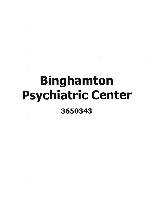## **Binghamton** .Psychiatric **Center 3650343**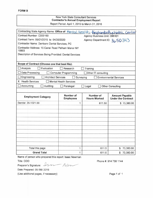| <b>FORM B</b> |
|---------------|
|---------------|

## New York State Consultant Services **Contractor's Annual Employment Report**

Report Period: April 1, 2015 to March 31, 2016

| Contracting State Agency Name: Office of Mental Health - Binghamton Psychiatric Center<br>Contract Number: C000160<br>Agency Business Unit: OMH01 |                               |                                  |                                                    |  |  |  |  |
|---------------------------------------------------------------------------------------------------------------------------------------------------|-------------------------------|----------------------------------|----------------------------------------------------|--|--|--|--|
| Contract Term: 05/01/2015 to 04/30/2020                                                                                                           |                               | Agency Department ID: 3650343    |                                                    |  |  |  |  |
| Contractor Name: Dentserv Dental Services, PC                                                                                                     |                               |                                  |                                                    |  |  |  |  |
| Contractor Address: 15 Canal Road Pelham Manor NY<br>10803                                                                                        |                               |                                  |                                                    |  |  |  |  |
| Description of Services Being Provided: Dental Services                                                                                           |                               |                                  |                                                    |  |  |  |  |
| Scope of Contract (Choose one that best fits):                                                                                                    |                               |                                  |                                                    |  |  |  |  |
| Analysis<br>Evaluation<br>Research<br>Training                                                                                                    |                               |                                  |                                                    |  |  |  |  |
| Data Processing<br><b>Computer Programming</b><br>Other IT consulting                                                                             |                               |                                  |                                                    |  |  |  |  |
| Engineering<br><b>Architect Services</b><br>Surveying<br><b>Environmental Services</b>                                                            |                               |                                  |                                                    |  |  |  |  |
| <b>Health Services</b><br>X<br><b>Mental Health Services</b>                                                                                      |                               |                                  |                                                    |  |  |  |  |
| Accounting<br>Auditing<br>Legal<br><b>Other Consulting</b><br>Paralegal<br>IJ                                                                     |                               |                                  |                                                    |  |  |  |  |
|                                                                                                                                                   |                               |                                  |                                                    |  |  |  |  |
| <b>Employment Category</b>                                                                                                                        | Number of<br><b>Employees</b> | Number of<br><b>Hours Worked</b> | <b>Amount Payable</b><br><b>Under the Contract</b> |  |  |  |  |
| Dentist 29-1021.00                                                                                                                                | 1                             | 611.50                           | \$73,380.00                                        |  |  |  |  |
|                                                                                                                                                   |                               |                                  |                                                    |  |  |  |  |
|                                                                                                                                                   |                               |                                  |                                                    |  |  |  |  |
|                                                                                                                                                   |                               |                                  |                                                    |  |  |  |  |
|                                                                                                                                                   |                               |                                  |                                                    |  |  |  |  |
|                                                                                                                                                   |                               |                                  |                                                    |  |  |  |  |
|                                                                                                                                                   |                               |                                  |                                                    |  |  |  |  |
|                                                                                                                                                   |                               |                                  |                                                    |  |  |  |  |
|                                                                                                                                                   |                               |                                  |                                                    |  |  |  |  |
|                                                                                                                                                   |                               |                                  |                                                    |  |  |  |  |
| Total this page                                                                                                                                   | 1                             | 611.5                            | 73,380.00<br>S                                     |  |  |  |  |
| <b>Grand Total</b>                                                                                                                                | 1                             | 611.5                            | \$73,380.00                                        |  |  |  |  |

Name of person who prepared this report: Isaac Newman

Title: COO

Preparer's Signature:  $\mathcal{M}_{\mathcal{M}}$ 

Date Prepared: *05/06/2016*

(Use additional pages, if necessary)

Phone #: 914 738 1144

Page 1 of 1